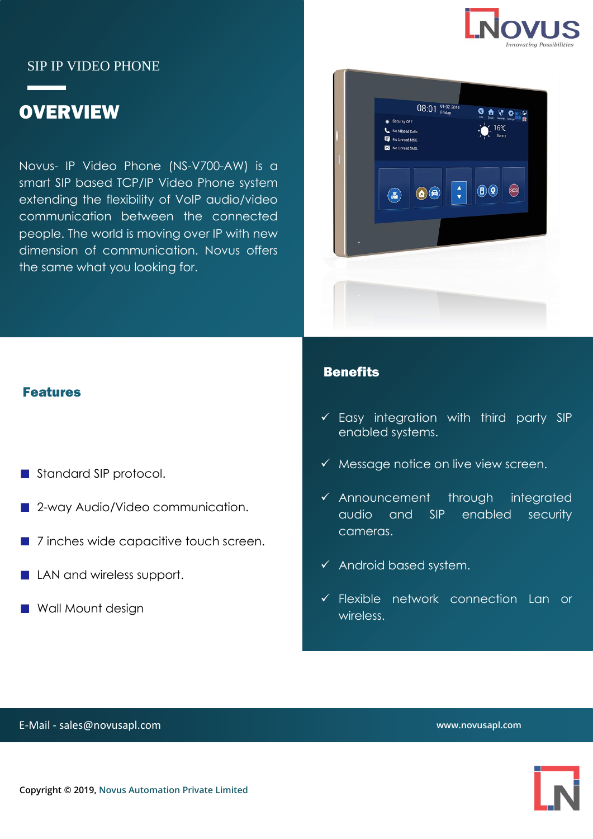

### SIP IP VIDEO PHONE

# **OVERVIEW**

Novus- IP Video Phone (NS-V700-AW) is a smart SIP based TCP/IP Video Phone system extending the flexibility of VoIP audio/video communication between the connected people. The world is moving over IP with new dimension of communication. Novus offers the same what you looking for.



#### Features

- Standard SIP protocol.
- 2-way Audio/Video communication.
- 7 inches wide capacitive touch screen.
- **LAN and wireless support.**
- **NAME Wall Mount design**

#### **Benefits**

- $\checkmark$  Easy integration with third party SIP enabled systems.
- $\checkmark$  Message notice on live view screen.
- ✓ Announcement through integrated audio and SIP enabled security cameras.
- ✓ Android based system.
- ✓ Flexible network connection Lan or wireless.

E-Mail - sales@novusapl.com

**www.novusapl.com**

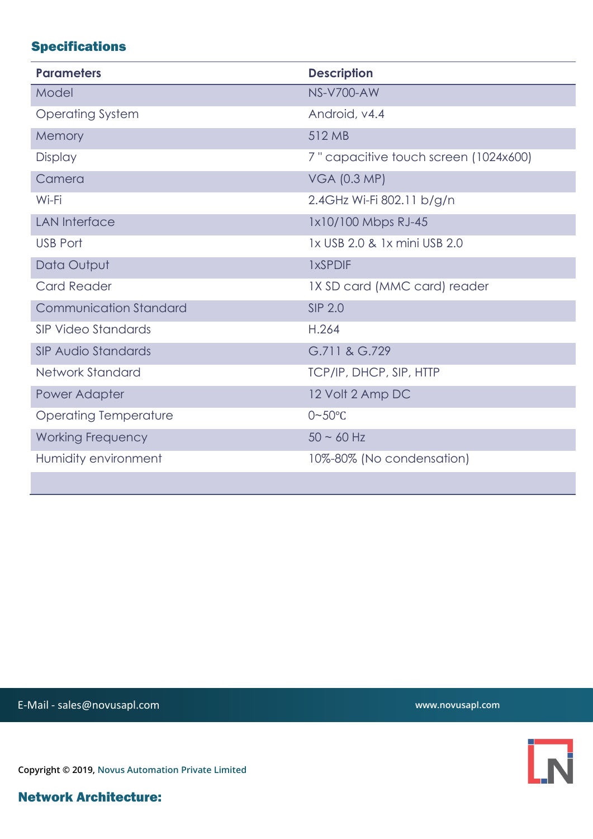## Specifications

| <b>Parameters</b>             | <b>Description</b>                    |
|-------------------------------|---------------------------------------|
| Model                         | <b>NS-V700-AW</b>                     |
| <b>Operating System</b>       | Android, v4.4                         |
| Memory                        | 512 MB                                |
| <b>Display</b>                | 7" capacitive touch screen (1024x600) |
| Camera                        | <b>VGA (0.3 MP)</b>                   |
| Wi-Fi                         | 2.4GHz Wi-Fi 802.11 b/g/n             |
| <b>LAN Interface</b>          | 1x10/100 Mbps RJ-45                   |
| <b>USB Port</b>               | 1x USB 2.0 & 1x mini USB 2.0          |
| Data Output                   | <b>1xSPDIF</b>                        |
| <b>Card Reader</b>            | 1X SD card (MMC card) reader          |
| <b>Communication Standard</b> | <b>SIP 2.0</b>                        |
| SIP Video Standards           | H.264                                 |
| <b>SIP Audio Standards</b>    | G.711 & G.729                         |
| Network Standard              | TCP/IP, DHCP, SIP, HTTP               |
| Power Adapter                 | 12 Volt 2 Amp DC                      |
| <b>Operating Temperature</b>  | $0 - 50$ °C                           |
| <b>Working Frequency</b>      | $50 - 60$ Hz                          |
| Humidity environment          | 10%-80% (No condensation)             |
|                               |                                       |

E-Mail - sales@novusapl.com

**www.novusapl.com**

 $\overline{\mathsf{N}}$ 

**Copyright © 2019, Novus Automation Private Limited**

Network Architecture: